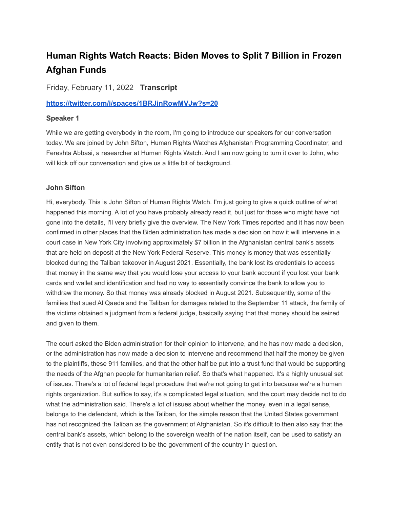# **Human Rights Watch Reacts: Biden Moves to Split 7 Billion in Frozen Afghan Funds**

Friday, February 11, 2022 **Transcript**

**<https://twitter.com/i/spaces/1BRJjnRowMVJw?s=20>**

# **Speaker 1**

While we are getting everybody in the room, I'm going to introduce our speakers for our conversation today. We are joined by John Sifton, Human Rights Watches Afghanistan Programming Coordinator, and Fereshta Abbasi, a researcher at Human Rights Watch. And I am now going to turn it over to John, who will kick off our conversation and give us a little bit of background.

# **John Sifton**

Hi, everybody. This is John Sifton of Human Rights Watch. I'm just going to give a quick outline of what happened this morning. A lot of you have probably already read it, but just for those who might have not gone into the details, I'll very briefly give the overview. The New York Times reported and it has now been confirmed in other places that the Biden administration has made a decision on how it will intervene in a court case in New York City involving approximately \$7 billion in the Afghanistan central bank's assets that are held on deposit at the New York Federal Reserve. This money is money that was essentially blocked during the Taliban takeover in August 2021. Essentially, the bank lost its credentials to access that money in the same way that you would lose your access to your bank account if you lost your bank cards and wallet and identification and had no way to essentially convince the bank to allow you to withdraw the money. So that money was already blocked in August 2021. Subsequently, some of the families that sued Al Qaeda and the Taliban for damages related to the September 11 attack, the family of the victims obtained a judgment from a federal judge, basically saying that that money should be seized and given to them.

The court asked the Biden administration for their opinion to intervene, and he has now made a decision, or the administration has now made a decision to intervene and recommend that half the money be given to the plaintiffs, these 911 families, and that the other half be put into a trust fund that would be supporting the needs of the Afghan people for humanitarian relief. So that's what happened. It's a highly unusual set of issues. There's a lot of federal legal procedure that we're not going to get into because we're a human rights organization. But suffice to say, it's a complicated legal situation, and the court may decide not to do what the administration said. There's a lot of issues about whether the money, even in a legal sense, belongs to the defendant, which is the Taliban, for the simple reason that the United States government has not recognized the Taliban as the government of Afghanistan. So it's difficult to then also say that the central bank's assets, which belong to the sovereign wealth of the nation itself, can be used to satisfy an entity that is not even considered to be the government of the country in question.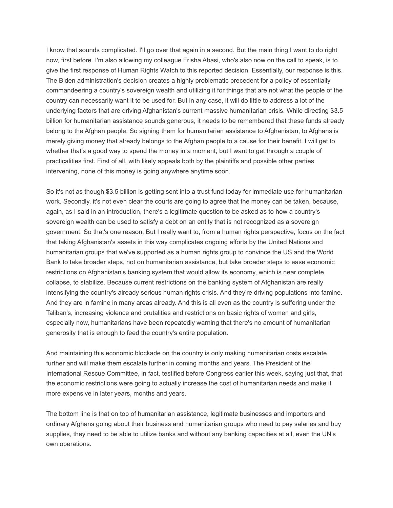I know that sounds complicated. I'll go over that again in a second. But the main thing I want to do right now, first before. I'm also allowing my colleague Frisha Abasi, who's also now on the call to speak, is to give the first response of Human Rights Watch to this reported decision. Essentially, our response is this. The Biden administration's decision creates a highly problematic precedent for a policy of essentially commandeering a country's sovereign wealth and utilizing it for things that are not what the people of the country can necessarily want it to be used for. But in any case, it will do little to address a lot of the underlying factors that are driving Afghanistan's current massive humanitarian crisis. While directing \$3.5 billion for humanitarian assistance sounds generous, it needs to be remembered that these funds already belong to the Afghan people. So signing them for humanitarian assistance to Afghanistan, to Afghans is merely giving money that already belongs to the Afghan people to a cause for their benefit. I will get to whether that's a good way to spend the money in a moment, but I want to get through a couple of practicalities first. First of all, with likely appeals both by the plaintiffs and possible other parties intervening, none of this money is going anywhere anytime soon.

So it's not as though \$3.5 billion is getting sent into a trust fund today for immediate use for humanitarian work. Secondly, it's not even clear the courts are going to agree that the money can be taken, because, again, as I said in an introduction, there's a legitimate question to be asked as to how a country's sovereign wealth can be used to satisfy a debt on an entity that is not recognized as a sovereign government. So that's one reason. But I really want to, from a human rights perspective, focus on the fact that taking Afghanistan's assets in this way complicates ongoing efforts by the United Nations and humanitarian groups that we've supported as a human rights group to convince the US and the World Bank to take broader steps, not on humanitarian assistance, but take broader steps to ease economic restrictions on Afghanistan's banking system that would allow its economy, which is near complete collapse, to stabilize. Because current restrictions on the banking system of Afghanistan are really intensifying the country's already serious human rights crisis. And they're driving populations into famine. And they are in famine in many areas already. And this is all even as the country is suffering under the Taliban's, increasing violence and brutalities and restrictions on basic rights of women and girls, especially now, humanitarians have been repeatedly warning that there's no amount of humanitarian generosity that is enough to feed the country's entire population.

And maintaining this economic blockade on the country is only making humanitarian costs escalate further and will make them escalate further in coming months and years. The President of the International Rescue Committee, in fact, testified before Congress earlier this week, saying just that, that the economic restrictions were going to actually increase the cost of humanitarian needs and make it more expensive in later years, months and years.

The bottom line is that on top of humanitarian assistance, legitimate businesses and importers and ordinary Afghans going about their business and humanitarian groups who need to pay salaries and buy supplies, they need to be able to utilize banks and without any banking capacities at all, even the UN's own operations.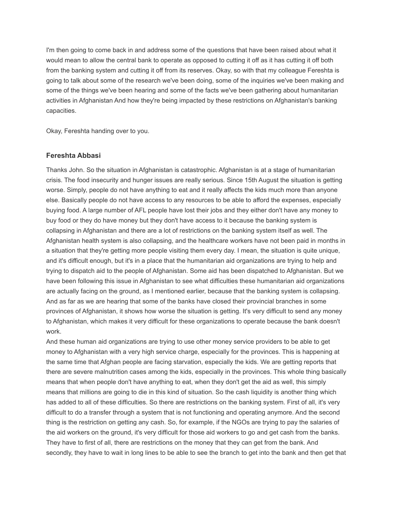I'm then going to come back in and address some of the questions that have been raised about what it would mean to allow the central bank to operate as opposed to cutting it off as it has cutting it off both from the banking system and cutting it off from its reserves. Okay, so with that my colleague Fereshta is going to talk about some of the research we've been doing, some of the inquiries we've been making and some of the things we've been hearing and some of the facts we've been gathering about humanitarian activities in Afghanistan And how they're being impacted by these restrictions on Afghanistan's banking capacities.

Okay, Fereshta handing over to you.

# **Fereshta Abbasi**

Thanks John. So the situation in Afghanistan is catastrophic. Afghanistan is at a stage of humanitarian crisis. The food insecurity and hunger issues are really serious. Since 15th August the situation is getting worse. Simply, people do not have anything to eat and it really affects the kids much more than anyone else. Basically people do not have access to any resources to be able to afford the expenses, especially buying food. A large number of AFL people have lost their jobs and they either don't have any money to buy food or they do have money but they don't have access to it because the banking system is collapsing in Afghanistan and there are a lot of restrictions on the banking system itself as well. The Afghanistan health system is also collapsing, and the healthcare workers have not been paid in months in a situation that they're getting more people visiting them every day. I mean, the situation is quite unique, and it's difficult enough, but it's in a place that the humanitarian aid organizations are trying to help and trying to dispatch aid to the people of Afghanistan. Some aid has been dispatched to Afghanistan. But we have been following this issue in Afghanistan to see what difficulties these humanitarian aid organizations are actually facing on the ground, as I mentioned earlier, because that the banking system is collapsing. And as far as we are hearing that some of the banks have closed their provincial branches in some provinces of Afghanistan, it shows how worse the situation is getting. It's very difficult to send any money to Afghanistan, which makes it very difficult for these organizations to operate because the bank doesn't work.

And these human aid organizations are trying to use other money service providers to be able to get money to Afghanistan with a very high service charge, especially for the provinces. This is happening at the same time that Afghan people are facing starvation, especially the kids. We are getting reports that there are severe malnutrition cases among the kids, especially in the provinces. This whole thing basically means that when people don't have anything to eat, when they don't get the aid as well, this simply means that millions are going to die in this kind of situation. So the cash liquidity is another thing which has added to all of these difficulties. So there are restrictions on the banking system. First of all, it's very difficult to do a transfer through a system that is not functioning and operating anymore. And the second thing is the restriction on getting any cash. So, for example, if the NGOs are trying to pay the salaries of the aid workers on the ground, it's very difficult for those aid workers to go and get cash from the banks. They have to first of all, there are restrictions on the money that they can get from the bank. And secondly, they have to wait in long lines to be able to see the branch to get into the bank and then get that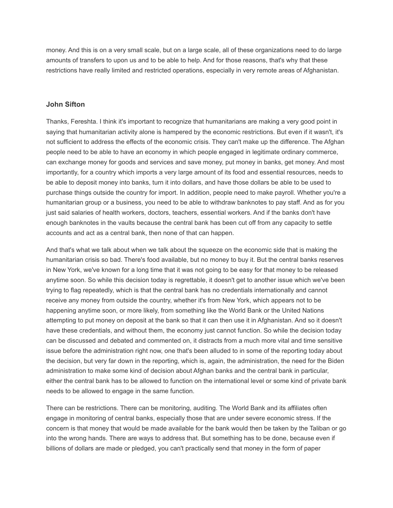money. And this is on a very small scale, but on a large scale, all of these organizations need to do large amounts of transfers to upon us and to be able to help. And for those reasons, that's why that these restrictions have really limited and restricted operations, especially in very remote areas of Afghanistan.

#### **John Sifton**

Thanks, Fereshta. I think it's important to recognize that humanitarians are making a very good point in saying that humanitarian activity alone is hampered by the economic restrictions. But even if it wasn't, it's not sufficient to address the effects of the economic crisis. They can't make up the difference. The Afghan people need to be able to have an economy in which people engaged in legitimate ordinary commerce, can exchange money for goods and services and save money, put money in banks, get money. And most importantly, for a country which imports a very large amount of its food and essential resources, needs to be able to deposit money into banks, turn it into dollars, and have those dollars be able to be used to purchase things outside the country for import. In addition, people need to make payroll. Whether you're a humanitarian group or a business, you need to be able to withdraw banknotes to pay staff. And as for you just said salaries of health workers, doctors, teachers, essential workers. And if the banks don't have enough banknotes in the vaults because the central bank has been cut off from any capacity to settle accounts and act as a central bank, then none of that can happen.

And that's what we talk about when we talk about the squeeze on the economic side that is making the humanitarian crisis so bad. There's food available, but no money to buy it. But the central banks reserves in New York, we've known for a long time that it was not going to be easy for that money to be released anytime soon. So while this decision today is regrettable, it doesn't get to another issue which we've been trying to flag repeatedly, which is that the central bank has no credentials internationally and cannot receive any money from outside the country, whether it's from New York, which appears not to be happening anytime soon, or more likely, from something like the World Bank or the United Nations attempting to put money on deposit at the bank so that it can then use it in Afghanistan. And so it doesn't have these credentials, and without them, the economy just cannot function. So while the decision today can be discussed and debated and commented on, it distracts from a much more vital and time sensitive issue before the administration right now, one that's been alluded to in some of the reporting today about the decision, but very far down in the reporting, which is, again, the administration, the need for the Biden administration to make some kind of decision about Afghan banks and the central bank in particular, either the central bank has to be allowed to function on the international level or some kind of private bank needs to be allowed to engage in the same function.

There can be restrictions. There can be monitoring, auditing. The World Bank and its affiliates often engage in monitoring of central banks, especially those that are under severe economic stress. If the concern is that money that would be made available for the bank would then be taken by the Taliban or go into the wrong hands. There are ways to address that. But something has to be done, because even if billions of dollars are made or pledged, you can't practically send that money in the form of paper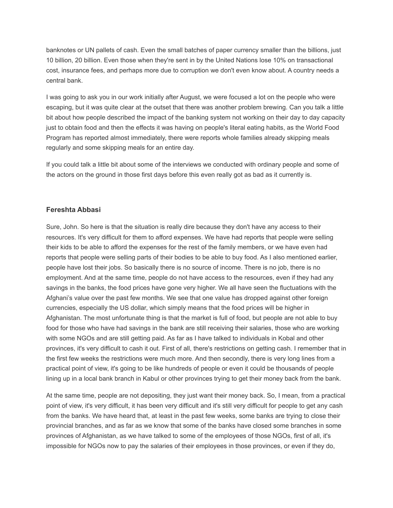banknotes or UN pallets of cash. Even the small batches of paper currency smaller than the billions, just 10 billion, 20 billion. Even those when they're sent in by the United Nations lose 10% on transactional cost, insurance fees, and perhaps more due to corruption we don't even know about. A country needs a central bank.

I was going to ask you in our work initially after August, we were focused a lot on the people who were escaping, but it was quite clear at the outset that there was another problem brewing. Can you talk a little bit about how people described the impact of the banking system not working on their day to day capacity just to obtain food and then the effects it was having on people's literal eating habits, as the World Food Program has reported almost immediately, there were reports whole families already skipping meals regularly and some skipping meals for an entire day.

If you could talk a little bit about some of the interviews we conducted with ordinary people and some of the actors on the ground in those first days before this even really got as bad as it currently is.

# **Fereshta Abbasi**

Sure, John. So here is that the situation is really dire because they don't have any access to their resources. It's very difficult for them to afford expenses. We have had reports that people were selling their kids to be able to afford the expenses for the rest of the family members, or we have even had reports that people were selling parts of their bodies to be able to buy food. As I also mentioned earlier, people have lost their jobs. So basically there is no source of income. There is no job, there is no employment. And at the same time, people do not have access to the resources, even if they had any savings in the banks, the food prices have gone very higher. We all have seen the fluctuations with the Afghani's value over the past few months. We see that one value has dropped against other foreign currencies, especially the US dollar, which simply means that the food prices will be higher in Afghanistan. The most unfortunate thing is that the market is full of food, but people are not able to buy food for those who have had savings in the bank are still receiving their salaries, those who are working with some NGOs and are still getting paid. As far as I have talked to individuals in Kobal and other provinces, it's very difficult to cash it out. First of all, there's restrictions on getting cash. I remember that in the first few weeks the restrictions were much more. And then secondly, there is very long lines from a practical point of view, it's going to be like hundreds of people or even it could be thousands of people lining up in a local bank branch in Kabul or other provinces trying to get their money back from the bank.

At the same time, people are not depositing, they just want their money back. So, I mean, from a practical point of view, it's very difficult, it has been very difficult and it's still very difficult for people to get any cash from the banks. We have heard that, at least in the past few weeks, some banks are trying to close their provincial branches, and as far as we know that some of the banks have closed some branches in some provinces of Afghanistan, as we have talked to some of the employees of those NGOs, first of all, it's impossible for NGOs now to pay the salaries of their employees in those provinces, or even if they do,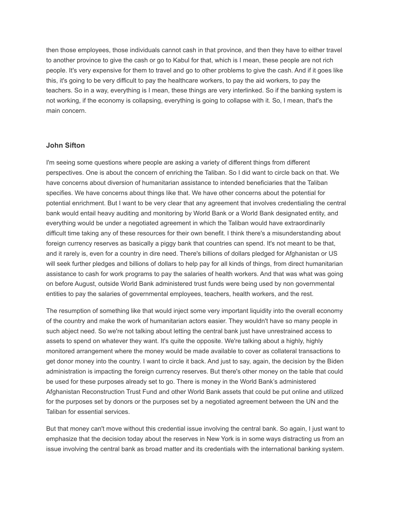then those employees, those individuals cannot cash in that province, and then they have to either travel to another province to give the cash or go to Kabul for that, which is I mean, these people are not rich people. It's very expensive for them to travel and go to other problems to give the cash. And if it goes like this, it's going to be very difficult to pay the healthcare workers, to pay the aid workers, to pay the teachers. So in a way, everything is I mean, these things are very interlinked. So if the banking system is not working, if the economy is collapsing, everything is going to collapse with it. So, I mean, that's the main concern.

#### **John Sifton**

I'm seeing some questions where people are asking a variety of different things from different perspectives. One is about the concern of enriching the Taliban. So I did want to circle back on that. We have concerns about diversion of humanitarian assistance to intended beneficiaries that the Taliban specifies. We have concerns about things like that. We have other concerns about the potential for potential enrichment. But I want to be very clear that any agreement that involves credentialing the central bank would entail heavy auditing and monitoring by World Bank or a World Bank designated entity, and everything would be under a negotiated agreement in which the Taliban would have extraordinarily difficult time taking any of these resources for their own benefit. I think there's a misunderstanding about foreign currency reserves as basically a piggy bank that countries can spend. It's not meant to be that, and it rarely is, even for a country in dire need. There's billions of dollars pledged for Afghanistan or US will seek further pledges and billions of dollars to help pay for all kinds of things, from direct humanitarian assistance to cash for work programs to pay the salaries of health workers. And that was what was going on before August, outside World Bank administered trust funds were being used by non governmental entities to pay the salaries of governmental employees, teachers, health workers, and the rest.

The resumption of something like that would inject some very important liquidity into the overall economy of the country and make the work of humanitarian actors easier. They wouldn't have so many people in such abject need. So we're not talking about letting the central bank just have unrestrained access to assets to spend on whatever they want. It's quite the opposite. We're talking about a highly, highly monitored arrangement where the money would be made available to cover as collateral transactions to get donor money into the country. I want to circle it back. And just to say, again, the decision by the Biden administration is impacting the foreign currency reserves. But there's other money on the table that could be used for these purposes already set to go. There is money in the World Bank's administered Afghanistan Reconstruction Trust Fund and other World Bank assets that could be put online and utilized for the purposes set by donors or the purposes set by a negotiated agreement between the UN and the Taliban for essential services.

But that money can't move without this credential issue involving the central bank. So again, I just want to emphasize that the decision today about the reserves in New York is in some ways distracting us from an issue involving the central bank as broad matter and its credentials with the international banking system.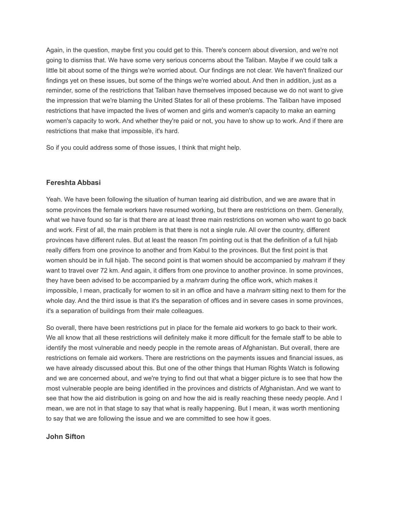Again, in the question, maybe first you could get to this. There's concern about diversion, and we're not going to dismiss that. We have some very serious concerns about the Taliban. Maybe if we could talk a little bit about some of the things we're worried about. Our findings are not clear. We haven't finalized our findings yet on these issues, but some of the things we're worried about. And then in addition, just as a reminder, some of the restrictions that Taliban have themselves imposed because we do not want to give the impression that we're blaming the United States for all of these problems. The Taliban have imposed restrictions that have impacted the lives of women and girls and women's capacity to make an earning women's capacity to work. And whether they're paid or not, you have to show up to work. And if there are restrictions that make that impossible, it's hard.

So if you could address some of those issues, I think that might help.

# **Fereshta Abbasi**

Yeah. We have been following the situation of human tearing aid distribution, and we are aware that in some provinces the female workers have resumed working, but there are restrictions on them. Generally, what we have found so far is that there are at least three main restrictions on women who want to go back and work. First of all, the main problem is that there is not a single rule. All over the country, different provinces have different rules. But at least the reason I'm pointing out is that the definition of a full hijab really differs from one province to another and from Kabul to the provinces. But the first point is that women should be in full hijab. The second point is that women should be accompanied by *mahram* if they want to travel over 72 km. And again, it differs from one province to another province. In some provinces, they have been advised to be accompanied by a *mahram* during the office work, which makes it impossible, I mean, practically for women to sit in an office and have a *mahram* sitting next to them for the whole day. And the third issue is that it's the separation of offices and in severe cases in some provinces, it's a separation of buildings from their male colleagues.

So overall, there have been restrictions put in place for the female aid workers to go back to their work. We all know that all these restrictions will definitely make it more difficult for the female staff to be able to identify the most vulnerable and needy people in the remote areas of Afghanistan. But overall, there are restrictions on female aid workers. There are restrictions on the payments issues and financial issues, as we have already discussed about this. But one of the other things that Human Rights Watch is following and we are concerned about, and we're trying to find out that what a bigger picture is to see that how the most vulnerable people are being identified in the provinces and districts of Afghanistan. And we want to see that how the aid distribution is going on and how the aid is really reaching these needy people. And I mean, we are not in that stage to say that what is really happening. But I mean, it was worth mentioning to say that we are following the issue and we are committed to see how it goes.

# **John Sifton**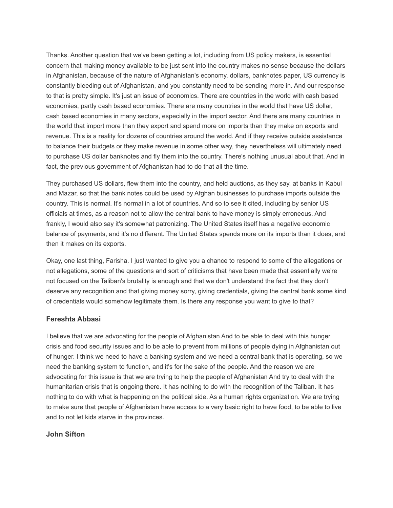Thanks. Another question that we've been getting a lot, including from US policy makers, is essential concern that making money available to be just sent into the country makes no sense because the dollars in Afghanistan, because of the nature of Afghanistan's economy, dollars, banknotes paper, US currency is constantly bleeding out of Afghanistan, and you constantly need to be sending more in. And our response to that is pretty simple. It's just an issue of economics. There are countries in the world with cash based economies, partly cash based economies. There are many countries in the world that have US dollar, cash based economies in many sectors, especially in the import sector. And there are many countries in the world that import more than they export and spend more on imports than they make on exports and revenue. This is a reality for dozens of countries around the world. And if they receive outside assistance to balance their budgets or they make revenue in some other way, they nevertheless will ultimately need to purchase US dollar banknotes and fly them into the country. There's nothing unusual about that. And in fact, the previous government of Afghanistan had to do that all the time.

They purchased US dollars, flew them into the country, and held auctions, as they say, at banks in Kabul and Mazar, so that the bank notes could be used by Afghan businesses to purchase imports outside the country. This is normal. It's normal in a lot of countries. And so to see it cited, including by senior US officials at times, as a reason not to allow the central bank to have money is simply erroneous. And frankly, I would also say it's somewhat patronizing. The United States itself has a negative economic balance of payments, and it's no different. The United States spends more on its imports than it does, and then it makes on its exports.

Okay, one last thing, Farisha. I just wanted to give you a chance to respond to some of the allegations or not allegations, some of the questions and sort of criticisms that have been made that essentially we're not focused on the Taliban's brutality is enough and that we don't understand the fact that they don't deserve any recognition and that giving money sorry, giving credentials, giving the central bank some kind of credentials would somehow legitimate them. Is there any response you want to give to that?

# **Fereshta Abbasi**

I believe that we are advocating for the people of Afghanistan And to be able to deal with this hunger crisis and food security issues and to be able to prevent from millions of people dying in Afghanistan out of hunger. I think we need to have a banking system and we need a central bank that is operating, so we need the banking system to function, and it's for the sake of the people. And the reason we are advocating for this issue is that we are trying to help the people of Afghanistan And try to deal with the humanitarian crisis that is ongoing there. It has nothing to do with the recognition of the Taliban. It has nothing to do with what is happening on the political side. As a human rights organization. We are trying to make sure that people of Afghanistan have access to a very basic right to have food, to be able to live and to not let kids starve in the provinces.

# **John Sifton**